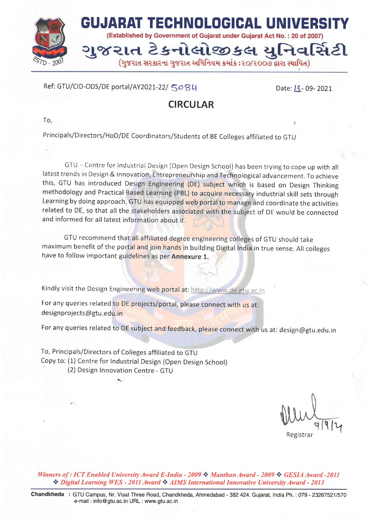

## Ref: GTU/CID-ODS/DE portal/AY2021-22/  $5084$  Date:  $\frac{13}{5}$ -09- 2021

## **CIRCULAR**

To,

Principals/Directors/HoD/DE Coordinators/Students of BE Colleges affiliated to GTU

GTU - Centre for Industrial Design (Open Design School) has been trying to cope up with all latest trends in Design & lnnovation, Entrepreneurship and Technological advancement. To achieve this, GTU has introduced Design Engineering (DE) subject which is based on Design Thinking methodology and Practical Based Learning (PBL) to acquire necessary industrial skill sets through Learning by doing approach. GTU has equipped web portal to manage and coordinate the activities related to DE, so that all the stakeholders associated with the subject of DE would be connected and informed for all latest information about it.

GTU recommend that all affiliated degree engineering colleges of GTU should take maximum benefit of the portal and join hands in building Digital India in true sense. All colleges have to follow important guidelines as per Annexure 1.

Kindly visit the Design Engineering web portal at: http://www.de.gtu.ac.in

For any queries related to DE projects/portal, please connect with us at: design projects@gtu.edu.in

For any queries related to DE subject and feedback, please connect with us at: design@gtu.edu.in

To, Principals/Directors of Colleges affiliated to GTU Copy to: (L) Centre for lndustrial Design (Open Design School) ' (2) Design lnnovation Centre - GTU

 $\overline{P}$ Registrar

Winners of : ICT Enabled University Award E-India - 2009  $\cdot$  Manthan Award - 2009  $\cdot \cdot$  GESIA Award -2011 \* Digital Learning WES - 2011Award \* AIMS Internationsl Innovative University Award - <sup>2013</sup>